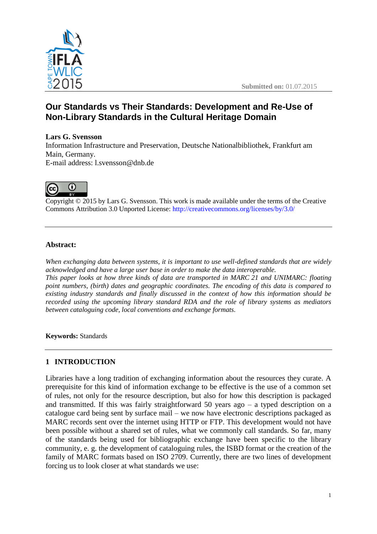

# **Our Standards vs Their Standards: Development and Re-Use of Non-Library Standards in the Cultural Heritage Domain**

## **Lars G. Svensson**

Information Infrastructure and Preservation, Deutsche Nationalbibliothek, Frankfurt am Main, Germany. E-mail address: l.svensson@dnb.de



Copyright © 2015 by Lars G. Svensson. This work is made available under the terms of the Creative Commons Attribution 3.0 Unported License: <http://creativecommons.org/licenses/by/3.0/>

## **Abstract:**

*When exchanging data between systems, it is important to use well-defined standards that are widely acknowledged and have a large user base in order to make the data interoperable. This paper looks at how three kinds of data are transported in MARC 21 and UNIMARC: floating point numbers, (birth) dates and geographic coordinates. The encoding of this data is compared to existing industry standards and finally discussed in the context of how this information should be recorded using the upcoming library standard RDA and the role of library systems as mediators between cataloguing code, local conventions and exchange formats.*

**Keywords:** Standards

## **1 INTRODUCTION**

Libraries have a long tradition of exchanging information about the resources they curate. A prerequisite for this kind of information exchange to be effective is the use of a common set of rules, not only for the resource description, but also for how this description is packaged and transmitted. If this was fairly straightforward 50 years ago  $-$  a typed description on a catalogue card being sent by surface mail – we now have electronic descriptions packaged as MARC records sent over the internet using HTTP or FTP. This development would not have been possible without a shared set of rules, what we commonly call standards. So far, many of the standards being used for bibliographic exchange have been specific to the library community, e. g. the development of cataloguing rules, the ISBD format or the creation of the family of MARC formats based on ISO 2709. Currently, there are two lines of development forcing us to look closer at what standards we use: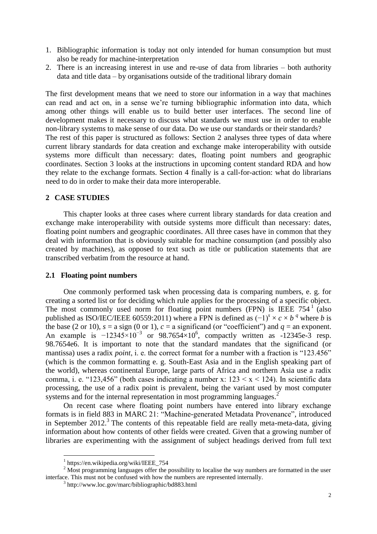- 1. Bibliographic information is today not only intended for human consumption but must also be ready for machine-interpretation
- 2. There is an increasing interest in use and re-use of data from libraries both authority data and title data – by organisations outside of the traditional library domain

The first development means that we need to store our information in a way that machines can read and act on, in a sense we're turning bibliographic information into data, which among other things will enable us to build better user interfaces. The second line of development makes it necessary to discuss what standards we must use in order to enable non-library systems to make sense of our data. Do we use our standards or their standards? The rest of this paper is structured as follows: Section 2 analyses three types of data where current library standards for data creation and exchange make interoperability with outside systems more difficult than necessary: dates, floating point numbers and geographic coordinates. Section 3 looks at the instructions in upcoming content standard RDA and how they relate to the exchange formats. Section 4 finally is a call-for-action: what do librarians need to do in order to make their data more interoperable.

#### **2 CASE STUDIES**

This chapter looks at three cases where current library standards for data creation and exchange make interoperability with outside systems more difficult than necessary: dates, floating point numbers and geographic coordinates. All three cases have in common that they deal with information that is obviously suitable for machine consumption (and possibly also created by machines), as opposed to text such as title or publication statements that are transcribed verbatim from the resource at hand.

#### **2.1 Floating point numbers**

One commonly performed task when processing data is comparing numbers, e. g. for creating a sorted list or for deciding which rule applies for the processing of a specific object. The most commonly used norm for floating point numbers  $(FPN)$  is IEEE 754<sup>1</sup> (also published as ISO/IEC/IEEE 60559:2011) where a FPN is defined as  $(-1)^s \times c \times b^q$  where *b* is the base (2 or 10),  $s = a$  sign (0 or 1),  $c = a$  significand (or "coefficient") and  $q = an$  exponent. An example is  $-12345\times10^{-3}$  or 98.7654×10<sup>6</sup>, compactly written as  $-12345e-3$  resp. 98.7654e6. It is important to note that the standard mandates that the significand (or mantissa) uses a radix *point*, i. e. the correct format for a number with a fraction is "123.456" (which is the common formatting e. g. South-East Asia and in the English speaking part of the world), whereas continental Europe, large parts of Africa and northern Asia use a radix comma, i. e. "123,456" (both cases indicating a number x:  $123 \le x \le 124$ ). In scientific data processing, the use of a radix point is prevalent, being the variant used by most computer systems and for the internal representation in most programming languages.<sup>2</sup>

On recent case where floating point numbers have entered into library exchange formats is in field 883 in MARC 21: "Machine-generated Metadata Provenance", introduced in September  $2012$ .<sup>3</sup> The contents of this repeatable field are really meta-meta-data, giving information about how contents of other fields were created. Given that a growing number of libraries are experimenting with the assignment of subject headings derived from full text

 $\overline{a}$ 

<sup>1</sup> https://en.wikipedia.org/wiki/IEEE\_754

<sup>&</sup>lt;sup>2</sup> Most programming languages offer the possibility to localise the way numbers are formatted in the user interface. This must not be confused with how the numbers are represented internally.

<sup>3</sup> http://www.loc.gov/marc/bibliographic/bd883.html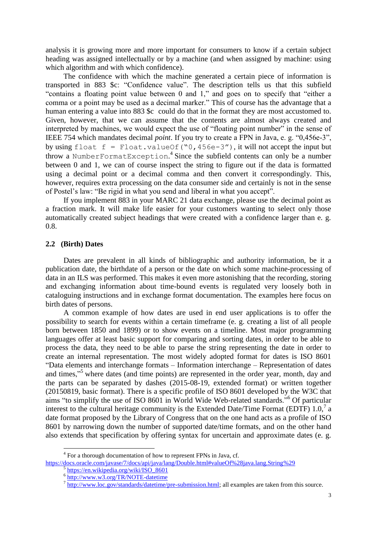analysis it is growing more and more important for consumers to know if a certain subject heading was assigned intellectually or by a machine (and when assigned by machine: using which algorithm and with which confidence).

The confidence with which the machine generated a certain piece of information is transported in 883 \$c: "Confidence value". The description tells us that this subfield "contains a floating point value between 0 and 1," and goes on to specify that "either a comma or a point may be used as a decimal marker." This of course has the advantage that a human entering a value into 883 \$c could do that in the format they are most accustomed to. Given, however, that we can assume that the contents are almost always created and interpreted by machines, we would expect the use of "floating point number" in the sense of IEEE 754 which mandates decimal *point*. If you try to create a FPN in Java, e. g. "0,456e-3", by using float  $f =$  Float.valueOf("0,456e-3"), it will not accept the input but throw a NumberFormatException.<sup>4</sup> Since the subfield contents can only be a number between 0 and 1, we can of course inspect the string to figure out if the data is formatted using a decimal point or a decimal comma and then convert it correspondingly. This, however, requires extra processing on the data consumer side and certainly is not in the sense of Postel's law: "Be rigid in what you send and liberal in what you accept".

If you implement 883 in your MARC 21 data exchange, please use the decimal point as a fraction mark. It will make life easier for your customers wanting to select only those automatically created subject headings that were created with a confidence larger than e. g. 0.8.

#### **2.2 (Birth) Dates**

 $\overline{a}$ 

Dates are prevalent in all kinds of bibliographic and authority information, be it a publication date, the birthdate of a person or the date on which some machine-processing of data in an ILS was performed. This makes it even more astonishing that the recording, storing and exchanging information about time-bound events is regulated very loosely both in cataloguing instructions and in exchange format documentation. The examples here focus on birth dates of persons.

A common example of how dates are used in end user applications is to offer the possibility to search for events within a certain timeframe (e. g. creating a list of all people born between 1850 and 1899) or to show events on a timeline. Most major programming languages offer at least basic support for comparing and sorting dates, in order to be able to process the data, they need to be able to parse the string representing the date in order to create an internal representation. The most widely adopted format for dates is ISO 8601 "Data elements and interchange formats – Information interchange – Representation of dates and times,"<sup>5</sup> where dates (and time points) are represented in the order year, month, day and the parts can be separated by dashes (2015-08-19, extended format) or written together (20150819, basic format). There is a specific profile of ISO 8601 developed by the W3C that aims "to simplify the use of ISO 8601 in World Wide Web-related standards."<sup>6</sup> Of particular interest to the cultural heritage community is the Extended Date/Time Format (EDTF) 1.0,<sup>7</sup> a date format proposed by the Library of Congress that on the one hand acts as a profile of ISO 8601 by narrowing down the number of supported date/time formats, and on the other hand also extends that specification by offering syntax for uncertain and approximate dates (e. g.

<sup>&</sup>lt;sup>4</sup> For a thorough documentation of how to represent FPNs in Java, cf.

<https://docs.oracle.com/javase/7/docs/api/java/lang/Double.html#valueOf%28java.lang.String%29> 5

[https://en.wikipedia.org/wiki/ISO\\_8601](https://en.wikipedia.org/wiki/ISO_8601)

<sup>&</sup>lt;sup>6</sup><br><http://www.w3.org/TR/NOTE-datetime><br><sup>7</sup> http://www.log.gov/standards/datatime/

[http://www.loc.gov/standards/datetime/pre-submission.html;](http://www.loc.gov/standards/datetime/pre-submission.html) all examples are taken from this source.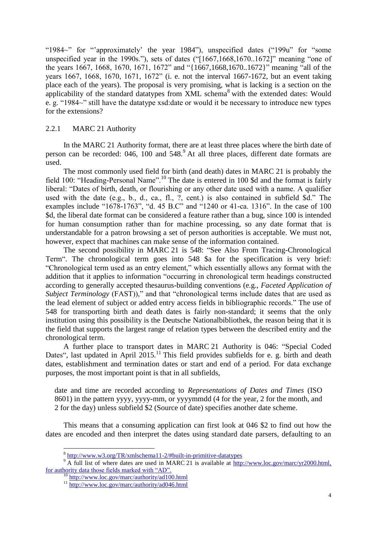"1984~" for "'approximately' the year 1984"), unspecified dates ("199u" for "some unspecified year in the 1990s."), sets of dates ("[1667,1668,1670..1672]" meaning "one of the years 1667, 1668, 1670, 1671, 1672" and "{1667,1668,1670..1672}" meaning "all of the years 1667, 1668, 1670, 1671, 1672" (i. e. not the interval 1667-1672, but an event taking place each of the years). The proposal is very promising, what is lacking is a section on the applicability of the standard datatypes from XML schema<sup>8</sup> with the extended dates: Would e. g. "1984~" still have the datatype xsd:date or would it be necessary to introduce new types for the extensions?

## 2.2.1 MARC 21 Authority

In the MARC 21 Authority format, there are at least three places where the birth date of person can be recorded: 046, 100 and  $548<sup>9</sup>$  At all three places, different date formats are used.

The most commonly used field for birth (and death) dates in MARC 21 is probably the field 100: "Heading-Personal Name".<sup>10</sup> The date is entered in 100 \$d and the format is fairly liberal: "Dates of birth, death, or flourishing or any other date used with a name. A qualifier used with the date (e.g., b., d., ca., fl., ?, cent.) is also contained in subfield \$d." The examples include "1678-1763", "d. 45 B.C" and "1240 or 41-ca. 1316". In the case of 100 \$d, the liberal date format can be considered a feature rather than a bug, since 100 is intended for human consumption rather than for machine processing, so any date format that is understandable for a patron browsing a set of person authorities is acceptable. We must not, however, expect that machines can make sense of the information contained.

The second possibility in MARC 21 is 548: "See Also From Tracing-Chronological Term". The chronological term goes into 548 \$a for the specification is very brief: "Chronological term used as an entry element," which essentially allows any format with the addition that it applies to information "occurring in chronological term headings constructed according to generally accepted thesaurus-building conventions (e.g., *Faceted Application of Subject Terminology* (FAST))," and that "chronological terms include dates that are used as the lead element of subject or added entry access fields in bibliographic records." The use of 548 for transporting birth and death dates is fairly non-standard; it seems that the only institution using this possibility is the Deutsche Nationalbibliothek, the reason being that it is the field that supports the largest range of relation types between the described entity and the chronological term.

A further place to transport dates in MARC 21 Authority is 046: "Special Coded Dates", last updated in April  $2015$ .<sup>11</sup> This field provides subfields for e. g. birth and death dates, establishment and termination dates or start and end of a period. For data exchange purposes, the most important point is that in all subfields,

date and time are recorded according to *Representations of Dates and Times* (ISO 8601) in the pattern yyyy, yyyy-mm, or yyyymmdd (4 for the year, 2 for the month, and 2 for the day) unless subfield \$2 (Source of date) specifies another date scheme.

This means that a consuming application can first look at 046 \$2 to find out how the dates are encoded and then interpret the dates using standard date parsers, defaulting to an

 $\overline{a}$ 

<sup>&</sup>lt;sup>8</sup> <http://www.w3.org/TR/xmlschema11-2/#built-in-primitive-datatypes>

<sup>&</sup>lt;sup>9</sup> A full list of where dates are used in MARC 21 is available at [http://www.loc.gov/marc/yr2000.html,](http://www.loc.gov/marc/yr2000.html) for authority data those fields marked with "AD".

<sup>&</sup>lt;sup>10</sup> <http://www.loc.gov/marc/authority/ad100.html>

<sup>&</sup>lt;sup>11</sup> <http://www.loc.gov/marc/authority/ad046.html>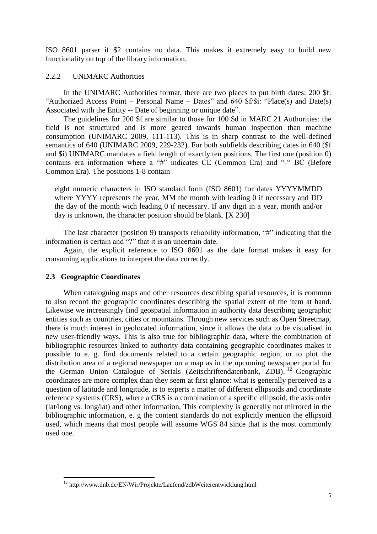ISO 8601 parser if \$2 contains no data. This makes it extremely easy to build new functionality on top of the library information.

## 2.2.2 UNIMARC Authorities

In the UNIMARC Authorities format, there are two places to put birth dates: 200 \$f: "Authorized Access Point – Personal Name – Dates" and 640 \$f/\$i: "Place(s) and Date(s) Associated with the Entity -- Date of beginning or unique date".

The guidelines for 200 \$f are similar to those for 100 \$d in MARC 21 Authorities: the field is not structured and is more geared towards human inspection than machine consumption (UNIMARC 2009, 111-113). This is in sharp contrast to the well-defined semantics of 640 (UNIMARC 2009, 229-232). For both subfields describing dates in 640 (\$f and \$i) UNIMARC mandates a field length of exactly ten positions. The first one (position 0) contains era information where a "#" indicates CE (Common Era) and "-" BC (Before Common Era). The positions 1-8 contain

eight numeric characters in ISO standard form (ISO 8601) for dates YYYYMMDD where YYYY represents the year, MM the month with leading 0 if necessary and DD the day of the month wich leading 0 if necessary. If any digit in a year, month and/or day is unknown, the character position should be blank. [X 230]

The last character (position 9) transports reliability information, "#" indicating that the information is certain and "?" that it is an uncertain date.

Again, the explicit reference to ISO 8601 as the date format makes it easy for consuming applications to interpret the data correctly.

## **2.3 Geographic Coordinates**

 $\overline{a}$ 

When cataloguing maps and other resources describing spatial resources, it is common to also record the geographic coordinates describing the spatial extent of the item at hand. Likewise we increasingly find geospatial information in authority data describing geographic entities such as countries, cities or mountains. Through new services such as Open Streetmap, there is much interest in geolocated information, since it allows the data to be visualised in new user-friendly ways. This is also true for bibliographic data, where the combination of bibliographic resources linked to authority data containing geographic coordinates makes it possible to e. g. find documents related to a certain geographic region, or to plot the distribution area of a regional newspaper on a map as in the upcoming newspaper portal for the German Union Catalogue of Serials (Zeitschriftendatenbank, ZDB).<sup>12</sup> Geographic coordinates are more complex than they seem at first glance: what is generally perceived as a question of latitude and longitude, is to experts a matter of different ellipsoids and coordinate reference systems (CRS), where a CRS is a combination of a specific ellipsoid, the axis order (lat/long vs. long/lat) and other information. This complexity is generally not mirrored in the bibliographic information, e. g the content standards do not explicitly mention the ellipsoid used, which means that most people will assume WGS 84 since that is the most commonly used one.

<sup>12</sup> http://www.dnb.de/EN/Wir/Projekte/Laufend/zdbWeiterentwicklung.html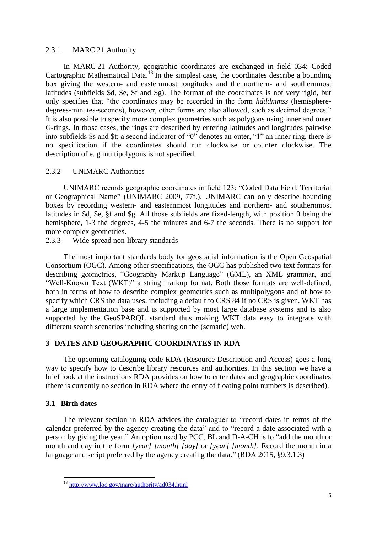## 2.3.1 MARC 21 Authority

In MARC 21 Authority, geographic coordinates are exchanged in field 034: Coded Cartographic Mathematical Data.<sup>13</sup> In the simplest case, the coordinates describe a bounding box giving the western- and easternmost longitudes and the northern- and southernmost latitudes (subfields \$d, \$e, \$f and \$g). The format of the coordinates is not very rigid, but only specifies that "the coordinates may be recorded in the form *hdddmmss* (hemispheredegrees-minutes-seconds), however, other forms are also allowed, such as decimal degrees." It is also possible to specify more complex geometries such as polygons using inner and outer G-rings. In those cases, the rings are described by entering latitudes and longitudes pairwise into subfields \$s and \$t; a second indicator of "0" denotes an outer, "1" an inner ring, there is no specification if the coordinates should run clockwise or counter clockwise. The description of e. g multipolygons is not specified.

## 2.3.2 UNIMARC Authorities

UNIMARC records geographic coordinates in field 123: "Coded Data Field: Territorial or Geographical Name" (UNIMARC 2009, 77f.). UNIMARC can only describe bounding boxes by recording western- and easternmost longitudes and northern- and southernmost latitudes in \$d, \$e, §f and \$g. All those subfields are fixed-length, with position 0 being the hemisphere, 1-3 the degrees, 4-5 the minutes and 6-7 the seconds. There is no support for more complex geometries.

2.3.3 Wide-spread non-library standards

The most important standards body for geospatial information is the Open Geospatial Consortium (OGC). Among other specifications, the OGC has published two text formats for describing geometries, "Geography Markup Language" (GML), an XML grammar, and "Well-Known Text (WKT)" a string markup format. Both those formats are well-defined, both in terms of how to describe complex geometries such as multipolygons and of how to specify which CRS the data uses, including a default to CRS 84 if no CRS is given. WKT has a large implementation base and is supported by most large database systems and is also supported by the GeoSPARQL standard thus making WKT data easy to integrate with different search scenarios including sharing on the (sematic) web.

## **3 DATES AND GEOGRAPHIC COORDINATES IN RDA**

The upcoming cataloguing code RDA (Resource Description and Access) goes a long way to specify how to describe library resources and authorities. In this section we have a brief look at the instructions RDA provides on how to enter dates and geographic coordinates (there is currently no section in RDA where the entry of floating point numbers is described).

## **3.1 Birth dates**

 $\overline{a}$ 

The relevant section in RDA advices the cataloguer to "record dates in terms of the calendar preferred by the agency creating the data" and to "record a date associated with a person by giving the year." An option used by PCC, BL and D-A-CH is to "add the month or month and day in the form *[year] [month] [day]* or *[year] [month]*. Record the month in a language and script preferred by the agency creating the data." (RDA 2015, §9.3.1.3)

<sup>&</sup>lt;sup>13</sup> <http://www.loc.gov/marc/authority/ad034.html>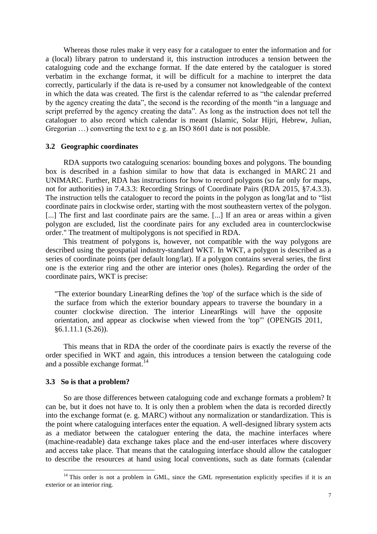Whereas those rules make it very easy for a cataloguer to enter the information and for a (local) library patron to understand it, this instruction introduces a tension between the cataloguing code and the exchange format. If the date entered by the cataloguer is stored verbatim in the exchange format, it will be difficult for a machine to interpret the data correctly, particularly if the data is re-used by a consumer not knowledgeable of the context in which the data was created. The first is the calendar referred to as "the calendar preferred by the agency creating the data", the second is the recording of the month "in a language and script preferred by the agency creating the data". As long as the instruction does not tell the cataloguer to also record which calendar is meant (Islamic, Solar Hijri, Hebrew, Julian, Gregorian ...) converting the text to e g. an ISO 8601 date is not possible.

#### **3.2 Geographic coordinates**

RDA supports two cataloguing scenarios: bounding boxes and polygons. The bounding box is described in a fashion similar to how that data is exchanged in MARC 21 and UNIMARC. Further, RDA has instructions for how to record polygons (so far only for maps, not for authorities) in 7.4.3.3: Recording Strings of Coordinate Pairs (RDA 2015, §7.4.3.3). The instruction tells the cataloguer to record the points in the polygon as long/lat and to "list coordinate pairs in clockwise order, starting with the most southeastern vertex of the polygon. [...] The first and last coordinate pairs are the same. [...] If an area or areas within a given polygon are excluded, list the coordinate pairs for any excluded area in counterclockwise order." The treatment of multipolygons is not specified in RDA.

This treatment of polygons is, however, not compatible with the way polygons are described using the geospatial industry-standard WKT. In WKT, a polygon is described as a series of coordinate points (per default long/lat). If a polygon contains several series, the first one is the exterior ring and the other are interior ones (holes). Regarding the order of the coordinate pairs, WKT is precise:

"The exterior boundary LinearRing defines the 'top' of the surface which is the side of the surface from which the exterior boundary appears to traverse the boundary in a counter clockwise direction. The interior LinearRings will have the opposite orientation, and appear as clockwise when viewed from the 'top'" (OPENGIS 2011, §6.1.11.1 (S.26)).

This means that in RDA the order of the coordinate pairs is exactly the reverse of the order specified in WKT and again, this introduces a tension between the cataloguing code and a possible exchange format. 14

#### **3.3 So is that a problem?**

 $\overline{a}$ 

So are those differences between cataloguing code and exchange formats a problem? It can be, but it does not have to. It is only then a problem when the data is recorded directly into the exchange format (e. g. MARC) without any normalization or standardization. This is the point where cataloguing interfaces enter the equation. A well-designed library system acts as a mediator between the cataloguer entering the data, the machine interfaces where (machine-readable) data exchange takes place and the end-user interfaces where discovery and access take place. That means that the cataloguing interface should allow the cataloguer to describe the resources at hand using local conventions, such as date formats (calendar

 $14$  This order is not a problem in GML, since the GML representation explicitly specifies if it is an exterior or an interior ring.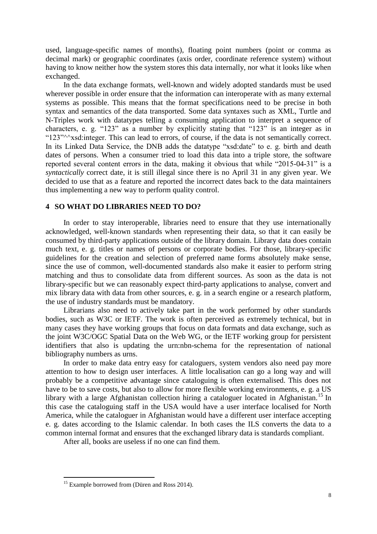used, language-specific names of months), floating point numbers (point or comma as decimal mark) or geographic coordinates (axis order, coordinate reference system) without having to know neither how the system stores this data internally, nor what it looks like when exchanged.

In the data exchange formats, well-known and widely adopted standards must be used wherever possible in order ensure that the information can interoperate with as many external systems as possible. This means that the format specifications need to be precise in both syntax and semantics of the data transported. Some data syntaxes such as XML, Turtle and N-Triples work with datatypes telling a consuming application to interpret a sequence of characters, e. g. "123" as a number by explicitly stating that "123" is an integer as in "123"^^xsd:integer. This can lead to errors, of course, if the data is not semantically correct. In its Linked Data Service, the DNB adds the datatype "xsd:date" to e. g. birth and death dates of persons. When a consumer tried to load this data into a triple store, the software reported several content errors in the data, making it obvious that while "2015-04-31" is a *syntactically* correct date, it is still illegal since there is no April 31 in any given year. We decided to use that as a feature and reported the incorrect dates back to the data maintainers thus implementing a new way to perform quality control.

#### **4 SO WHAT DO LIBRARIES NEED TO DO?**

In order to stay interoperable, libraries need to ensure that they use internationally acknowledged, well-known standards when representing their data, so that it can easily be consumed by third-party applications outside of the library domain. Library data does contain much text, e. g. titles or names of persons or corporate bodies. For those, library-specific guidelines for the creation and selection of preferred name forms absolutely make sense, since the use of common, well-documented standards also make it easier to perform string matching and thus to consolidate data from different sources. As soon as the data is not library-specific but we can reasonably expect third-party applications to analyse, convert and mix library data with data from other sources, e. g. in a search engine or a research platform, the use of industry standards must be mandatory.

Librarians also need to actively take part in the work performed by other standards bodies, such as W3C or IETF. The work is often perceived as extremely technical, but in many cases they have working groups that focus on data formats and data exchange, such as the joint W3C/OGC Spatial Data on the Web WG, or the IETF working group for persistent identifiers that also is updating the urn:nbn-schema for the representation of national bibliography numbers as urns.

In order to make data entry easy for cataloguers, system vendors also need pay more attention to how to design user interfaces. A little localisation can go a long way and will probably be a competitive advantage since cataloguing is often externalised. This does not have to be to save costs, but also to allow for more flexible working environments, e. g. a US library with a large Afghanistan collection hiring a cataloguer located in Afghanistan.<sup>15</sup> In this case the cataloguing staff in the USA would have a user interface localised for North America, while the cataloguer in Afghanistan would have a different user interface accepting e. g. dates according to the Islamic calendar. In both cases the ILS converts the data to a common internal format and ensures that the exchanged library data is standards compliant.

After all, books are useless if no one can find them.

 $\overline{a}$ 

<sup>&</sup>lt;sup>15</sup> Example borrowed from (Düren and Ross 2014).